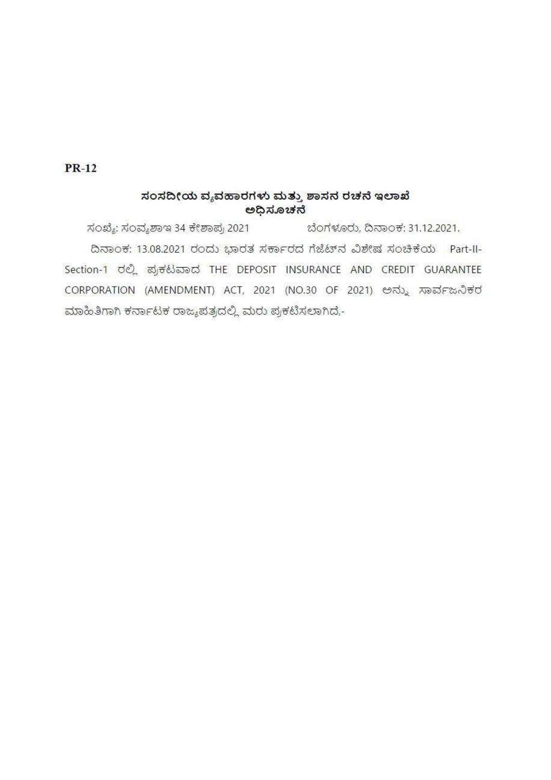# $PR-12$

## ಸಂಸದೀಯ ವ್ಯವಹಾರಗಳು ಮತ್ತು ಶಾಸನ ರಚನೆ ಇಲಾಖೆ ಅಧಿಸೂಚನೆ

ಸಂಖ್ಯೆ: ಸಂವ್ಯಶಾಇ 34 ಕೇಶಾಪ್ರ 2021 ಬೆಂಗಳೂರು, ದಿನಾಂಕ: 31.12.2021. ದಿನಾಂಕ: 13.08.2021 ರಂದು ಭಾರತ ಸರ್ಕಾರದ ಗೆಜೆಟ್ ನವಿಶೇಷ ಸಂಚಿಕೆಯ Part-II-Section-1 ರಲ್ಲಿ ಪ್ರಕಟವಾದ THE DEPOSIT INSURANCE AND CREDIT GUARANTEE CORPORATION (AMENDMENT) ACT, 2021 (NO.30 OF 2021) ಅನ್ನು ಸಾರ್ವಜನಿಕರ ಮಾಹಿತಿಗಾಗಿ ಕರ್ನಾಟಕ ರಾಜ್ಯಪತ್ರದಲ್ಲಿ ಮರು ಪ್ರಕಟಿಸಲಾಗಿದೆ,-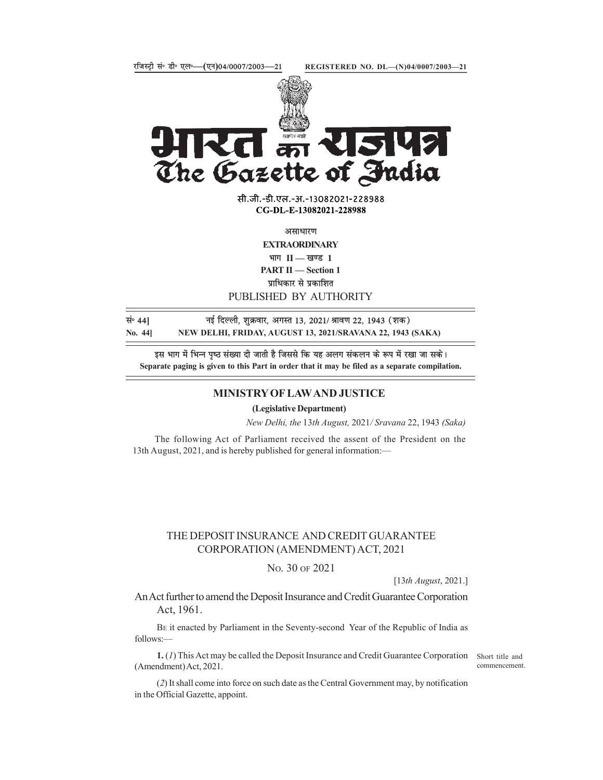

**Che Gazette of Fudia**<br>  $\frac{1}{\text{min.} \cdot \text{min.} \cdot \text{sum.} \cdot 31. -13082021 - 228988}}$ <br>
CG-DL-E-13082021-228988<br>
CG-DL-E-13082021-228988<br>
THE MATTI — Section 1<br>
PUBLISHED BY AUTHORITY<br>
PUBLISHED BY AUTHORITY<br>
PUBLISHED BY AUTHORIT

सी.जी.-डी.एल.-अ.-13082021-228988 CG-DL-E-13082021-228988

असाधारण

**EXTRAORDINARY** भाग $II$   $=$  खण्ड 1

**PART II** - Section 1

प्राधिकार से प्रकाशित

PUBLISHED BY AUTHORITY

सं॰ 44] बुर्ह दिल्ली, शुक्रवार, अगस्त 13, 2021/ श्रावण 22, 1943 (शक)

इस भाग में भिन्न पृष्ठ संख्या दी जाती है जिससे कि यह अलग संकलन के रूप में रखा जा सके। Separate paging is given to this Part in order that it may be filed as a separate compilation.

#### MINISTRY OF LAW AND JUSTICE

(Legislative Department)

New Delhi, the 13th August, 2021/ Sravana 22, 1943 (Saka)

The following Act of Parliament received the assent of the President on the 13th August, 2021, and is hereby published for general information:—

### THE DEPOSIT INSURANCE AND CREDIT GUARANTEE CORPORATION (AMENDMENT) ACT, 2021

#### NO. 30 OF 2021

[13th August, 2021.]

An Act further to amend the Deposit Insurance and Credit Guarantee Corporation Act, 1961.

BE it enacted by Parliament in the Seventy-second Year of the Republic of India as follows:—

1. (1) This Act may be called the Deposit Insurance and Credit Guarantee Corporation Short title and (Amendment) Act, 2021.

commencement.

(2) It shall come into force on such date as the Central Government may, by notification in the Official Gazette, appoint.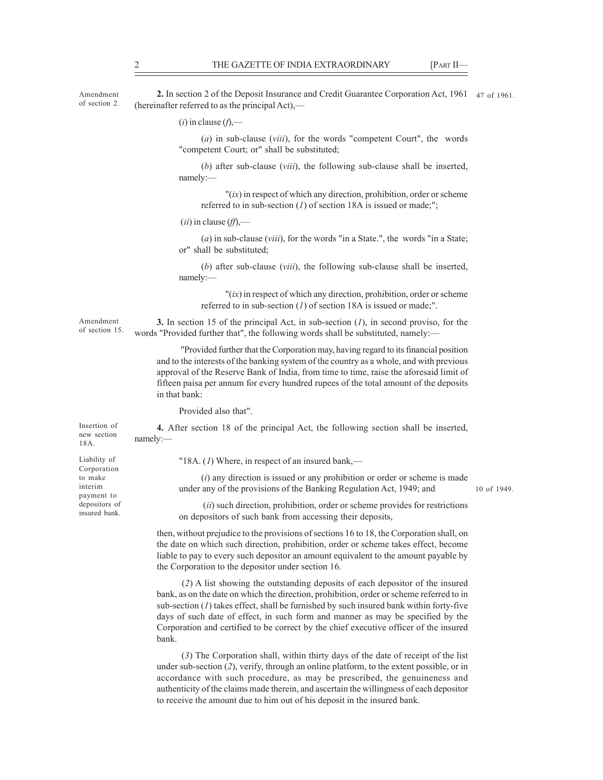THE GAZETTE OF INDIA EXTRAORDINARY [PART II—2. In section 2 of the Deposit Insurance and Credit Guarantee Corporation Act, 1961 [47 of 1961]<br>(hereinafter referred to as the principal Act),—<br>(i) in clause (f),— Amendment 2. In section 2 of the Deposit Insurance and Credit Guarantee Corporation Act, 1961 47 of 1961. (hereinafter referred to as the principal Act),— of section 2.

 $(i)$  in clause  $(f)$ ,—

 $(a)$  in sub-clause (viii), for the words "competent Court", the words "competent Court; or" shall be substituted;

(b) after sub-clause (viii), the following sub-clause shall be inserted, namely:—

 $''(ix)$  in respect of which any direction, prohibition, order or scheme referred to in sub-section  $(I)$  of section 18A is issued or made;";

 $(ii)$  in clause  $(ff)$ ,—

 $(a)$  in sub-clause (*viii*), for the words "in a State.", the words "in a State; or" shall be substituted;

(b) after sub-clause (viii), the following sub-clause shall be inserted, namely:—

 $''(ix)$  in respect of which any direction, prohibition, order or scheme referred to in sub-section  $(1)$  of section 18A is issued or made;".

Amendment 3. In section 15 of the principal Act, in sub-section  $(I)$ , in second proviso, for the words "Provided further that", the following words shall be substituted, namely:— of section 15.

> "Provided further that the Corporation may, having regard to its financial position and to the interests of the banking system of the country as a whole, and with previous approval of the Reserve Bank of India, from time to time, raise the aforesaid limit of fifteen paisa per annum for every hundred rupees of the total amount of the deposits in that bank:

Provided also that".

4. After section 18 of the principal Act, the following section shall be inserted, Insertion of namely:—<br>18A. new section

Corporation payment to depositors of insured bank.

Liability of  $18A$ . (*I*) Where, in respect of an insured bank,—

to make  $(i)$  any direction is issued or any prohibition or order or scheme is made under any of the provisions of the Banking Regulation Act, 1949; and interim

10 of 1949.

 (ii) such direction, prohibition, order or scheme provides for restrictions on depositors of such bank from accessing their deposits,

then, without prejudice to the provisions of sections 16 to 18, the Corporation shall, on the date on which such direction, prohibition, order or scheme takes effect, become liable to pay to every such depositor an amount equivalent to the amount payable by the Corporation to the depositor under section 16.

 (2) A list showing the outstanding deposits of each depositor of the insured bank, as on the date on which the direction, prohibition, order or scheme referred to in sub-section  $(I)$  takes effect, shall be furnished by such insured bank within forty-five days of such date of effect, in such form and manner as may be specified by the Corporation and certified to be correct by the chief executive officer of the insured bank.

 (3) The Corporation shall, within thirty days of the date of receipt of the list under sub-section (2), verify, through an online platform, to the extent possible, or in accordance with such procedure, as may be prescribed, the genuineness and authenticity of the claims made therein, and ascertain the willingness of each depositor to receive the amount due to him out of his deposit in the insured bank.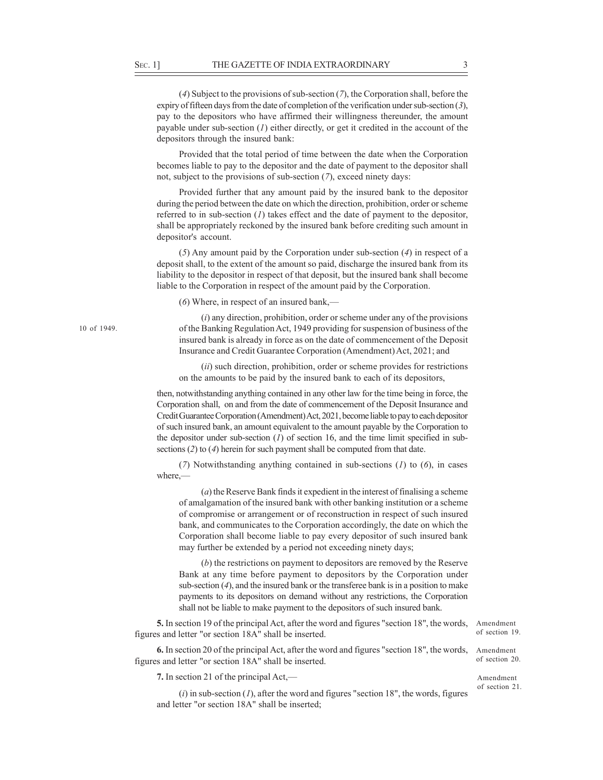SEC. 1] THE GAZETTE OF INDIA EXTRAORDINARY 3<br>
(4) Subject to the provisions of sub-section (7), the Corporation shall, before the<br>
expiry of fifteen days from the date of completion of the verification under sub-section ( (4) Subject to the provisions of sub-section (7), the Corporation shall, before the expiry of fifteen days from the date of completion of the verification under sub-section  $(3)$ , pay to the depositors who have affirmed their willingness thereunder, the amount payable under sub-section  $(I)$  either directly, or get it credited in the account of the depositors through the insured bank:

Provided that the total period of time between the date when the Corporation becomes liable to pay to the depositor and the date of payment to the depositor shall not, subject to the provisions of sub-section (7), exceed ninety days:

Provided further that any amount paid by the insured bank to the depositor during the period between the date on which the direction, prohibition, order or scheme referred to in sub-section  $(I)$  takes effect and the date of payment to the depositor, shall be appropriately reckoned by the insured bank before crediting such amount in depositor's account.

(5) Any amount paid by the Corporation under sub-section (4) in respect of a deposit shall, to the extent of the amount so paid, discharge the insured bank from its liability to the depositor in respect of that deposit, but the insured bank shall become liable to the Corporation in respect of the amount paid by the Corporation.

(6) Where, in respect of an insured bank,—

 $(i)$  any direction, prohibition, order or scheme under any of the provisions of the Banking Regulation Act, 1949 providing for suspension of business of the insured bank is already in force as on the date of commencement of the Deposit Insurance and Credit Guarantee Corporation (Amendment) Act, 2021; and

(*ii*) such direction, prohibition, order or scheme provides for restrictions on the amounts to be paid by the insured bank to each of its depositors,

then, notwithstanding anything contained in any other law for the time being in force, the Corporation shall, on and from the date of commencement of the Deposit Insurance and Credit Guarantee Corporation (Amendment) Act, 2021, become liable to pay to each depositor of such insured bank, an amount equivalent to the amount payable by the Corporation to the depositor under sub-section  $(1)$  of section 16, and the time limit specified in subsections (2) to (4) herein for such payment shall be computed from that date.

(7) Notwithstanding anything contained in sub-sections  $(1)$  to  $(6)$ , in cases where,—

(a) the Reserve Bank finds it expedient in the interest of finalising a scheme of amalgamation of the insured bank with other banking institution or a scheme of compromise or arrangement or of reconstruction in respect of such insured bank, and communicates to the Corporation accordingly, the date on which the Corporation shall become liable to pay every depositor of such insured bank may further be extended by a period not exceeding ninety days;

(b) the restrictions on payment to depositors are removed by the Reserve Bank at any time before payment to depositors by the Corporation under sub-section  $(4)$ , and the insured bank or the transferee bank is in a position to make payments to its depositors on demand without any restrictions, the Corporation shall not be liable to make payment to the depositors of such insured bank.

5. In section 19 of the principal Act, after the word and figures "section 18", the words, figures and letter "or section 18A" shall be inserted.

6. In section 20 of the principal Act, after the word and figures "section 18", the words, figures and letter "or section 18A" shall be inserted.

7. In section 21 of the principal Act,—

 $(i)$  in sub-section  $(I)$ , after the word and figures "section 18", the words, figures and letter "or section 18A" shall be inserted;

Amendment of section 19.

Amendment of section 20.

Amendment of section 21.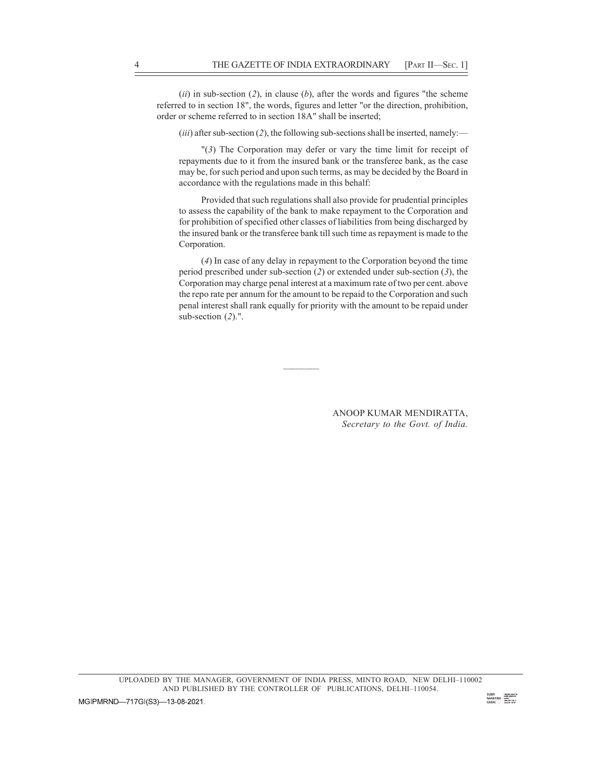(ii) in sub-section (2), in clause (b), after the words and figures "the scheme referred to in section 18", the words, figures and letter "or the direction, prohibition, order or scheme referred to in section 18A" shall be inserted; THE GAZETTE OF INDIA EXTRAORDINARY [PART II—SEC. 1]<br>(*ii*) in sub-section (2), in clause (*b*), after the words and figures "the scheme<br>referred to in section 18", the words, figures and letter "or the direction, prohibiti

(*iii*) after sub-section (2), the following sub-sections shall be inserted, namely:—

"(3) The Corporation may defer or vary the time limit for receipt of repayments due to it from the insured bank or the transferee bank, as the case may be, for such period and upon such terms, as may be decided by the Board in accordance with the regulations made in this behalf:

Provided that such regulations shall also provide for prudential principles to assess the capability of the bank to make repayment to the Corporation and for prohibition of specified other classes of liabilities from being discharged by the insured bank or the transferee bank till such time as repayment is made to the Corporation.

(4) In case of any delay in repayment to the Corporation beyond the time period prescribed under sub-section (2) or extended under sub-section (3), the Corporation may charge penal interest at a maximum rate of two per cent. above the repo rate per annum for the amount to be repaid to the Corporation and such penal interest shall rank equally for priority with the amount to be repaid under sub-section  $(2)$ .".

> ANOOP KUMAR MENDIRATTA, Secretary to the Govt. of India.

and the contract of the contract of the contract of the contract of the contract of the contract of the contract of

UPLOADED BY THE MANAGER, GOVERNMENT OF INDIA PRESS, MINTO ROAD, NEW DELHI–110002 AND PUBLISHED BY THE CONTROLLER OF PUBLICATIONS, DELHI-110054.